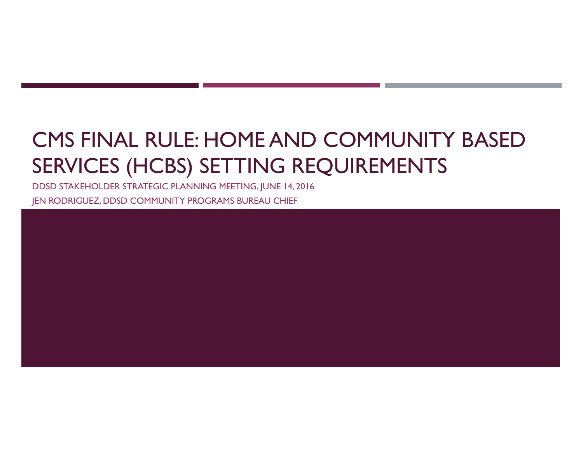# CMS FINAL RULE: HOME AND COMMUNITY BASED SERVICES (HCBS) SETTING REQUIREMENTS

DDSD STAKEHOLDER STRATEGIC PLANNING MEETING, JUNE 14, 2016 JEN RODRIGUEZ, DDSD COMMUNITY PROGRAMS BUREAU CHIEF

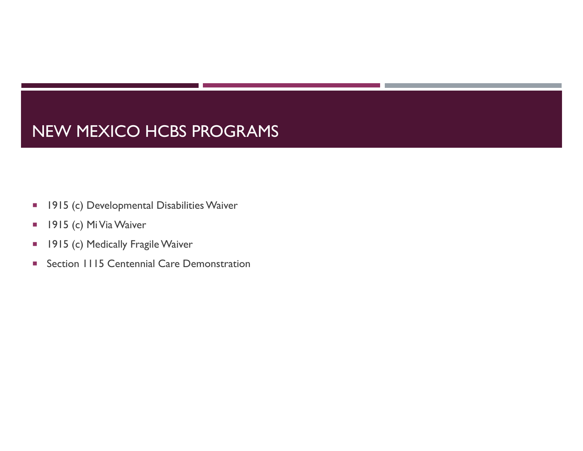#### NEW MEXICO HCBS PROGRAMS

- $\blacksquare$ 1915 (c) Developmental Disabilities Waiver
- $\blacksquare$ 1915 (c) MiVia Waiver
- $\mathcal{L}_{\mathcal{A}}$ 1915 (c) Medically Fragile Waiver
- $\mathcal{L}_{\mathcal{A}}$ Section 1115 Centennial Care Demonstration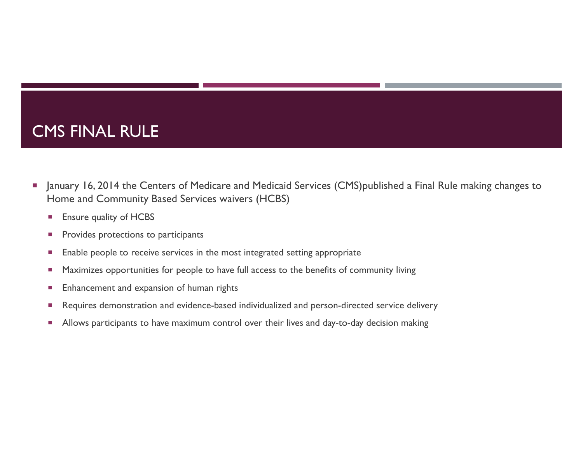#### CMS FINAL RULE

- $\Box$  January 16, 2014 the Centers of Medicare and Medicaid Services (CMS)published a Final Rule making changes to Home and Community Based Services waivers (HCBS)
	- ×, Ensure quality of HCBS
	- $\mathcal{L}_{\mathcal{A}}$ Provides protections to participants
	- $\mathcal{L}_{\mathcal{A}}$ Enable people to receive services in the most integrated setting appropriate
	- $\mathcal{C}$ Maximizes opportunities for people to have full access to the benefits of community living
	- $\mathcal{L}_{\mathcal{A}}$ Enhancement and expansion of human rights
	- $\mathcal{C}$ Requires demonstration and evidence-based individualized and person-directed service delivery
	- $\mathcal{L}_{\mathcal{A}}$ Allows participants to have maximum control over their lives and day-to-day decision making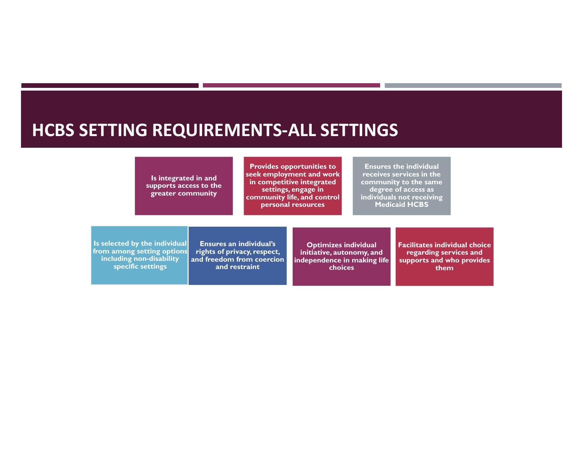#### **HCBS SETTING REQUIREMENTS-ALL SETTINGS**

**Is integrated in and supports access to the greater community**

**Provides opportunities to seek employment and work in competitive integrated settings, engage in community life, and control personal resources**

**Ensures the individual receives services in the community to the same degree of access as individuals not receiving Medicaid HCBS**

**Is selected by the individual from among setting options including non-disability specific settings**

**Ensures an individual's rights of privacy, respect, and freedom from coercion and restraint**

**Optimizes individual initiative, autonomy, and independence in making life choices**

**Facilitates individual choice regarding services and supports and who provides them**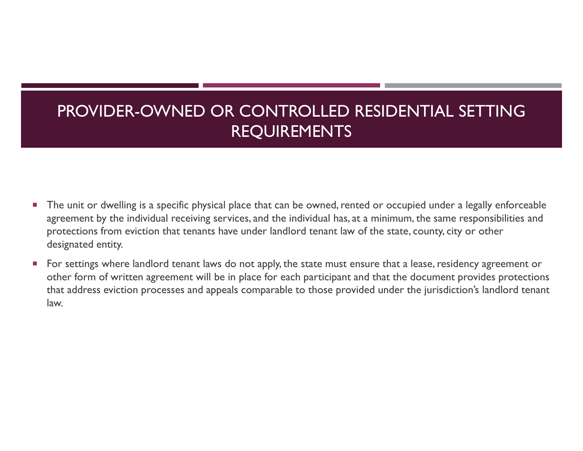# PROVIDER-OWNED OR CONTROLLED RESIDENTIAL SETTING REQUIREMENTS

- $\mathcal{L}_{\mathcal{A}}$  The unit or dwelling is a specific physical place that can be owned, rented or occupied under a legally enforceable agreement by the individual receiving services, and the individual has, at a minimum, the same responsibilities and protections from eviction that tenants have under landlord tenant law of the state, county, city or other designated entity.
- $\mathcal{L}_{\mathcal{A}}$  For settings where landlord tenant laws do not apply, the state must ensure that a lease, residency agreement or other form of written agreement will be in place for each participant and that the document provides protections that address eviction processes and appeals comparable to those provided under the jurisdiction's landlord tenant law.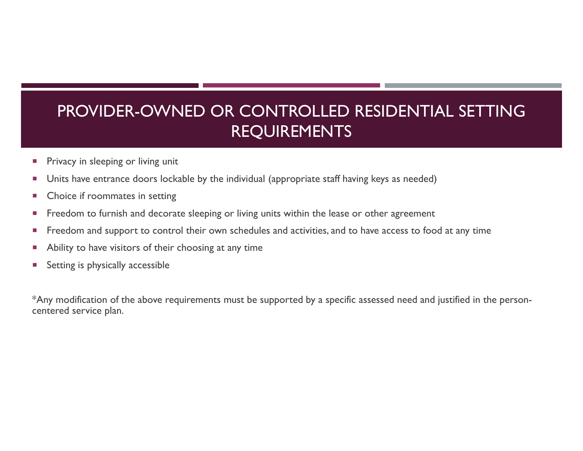# PROVIDER-OWNED OR CONTROLLED RESIDENTIAL SETTING REQUIREMENTS

- U. Privacy in sleeping or living unit
- ×, Units have entrance doors lockable by the individual (appropriate staff having keys as needed)
- ×, Choice if roommates in setting
- п Freedom to furnish and decorate sleeping or living units within the lease or other agreement
- $\mathbb{R}^3$ Freedom and support to control their own schedules and activities, and to have access to food at any time
- Ability to have visitors of their choosing at any time
- T. Setting is physically accessible

\*Any modification of the above requirements must be supported by a specific assessed need and justified in the personcentered service plan.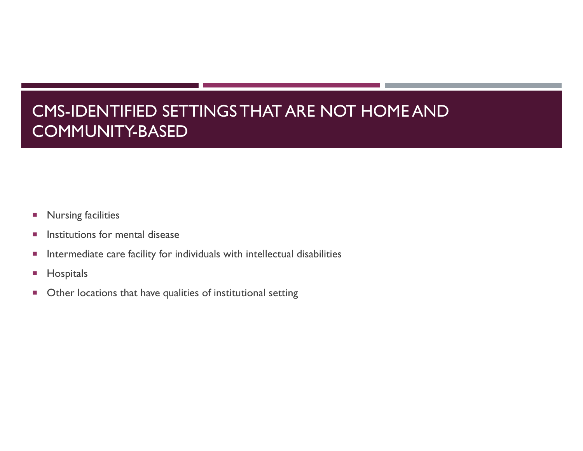# CMS-IDENTIFIED SETTINGS THAT ARE NOT HOME AND COMMUNITY-BASED

- $\mathcal{L}_{\mathcal{A}}$ Nursing facilities
- $\mathcal{C}$ Institutions for mental disease
- $\overline{\phantom{a}}$ Intermediate care facility for individuals with intellectual disabilities
- $\Box$ **Hospitals**
- $\blacksquare$ Other locations that have qualities of institutional setting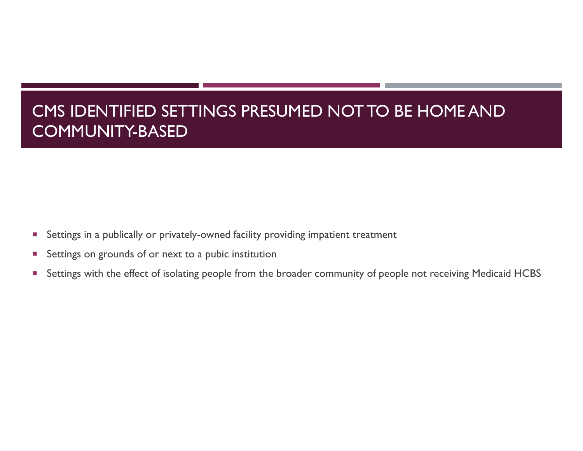# CMS IDENTIFIED SETTINGS PRESUMED NOT TO BE HOME AND COMMUNITY-BASED

- F. Settings in a publically or privately-owned facility providing impatient treatment
- F. Settings on grounds of or next to a pubic institution
- T, Settings with the effect of isolating people from the broader community of people not receiving Medicaid HCBS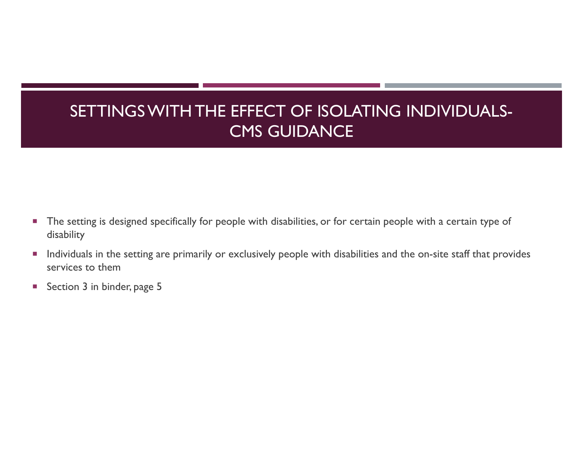# SETTINGS WITH THE EFFECT OF ISOLATING INDIVIDUALS-CMS GUIDANCE

- $\blacksquare$  The setting is designed specifically for people with disabilities, or for certain people with a certain type of disability
- $\mathcal{L}_{\mathcal{A}}$  Individuals in the setting are primarily or exclusively people with disabilities and the on-site staff that provides services to them
- $\mathcal{L}_{\mathcal{A}}$ Section 3 in binder, page 5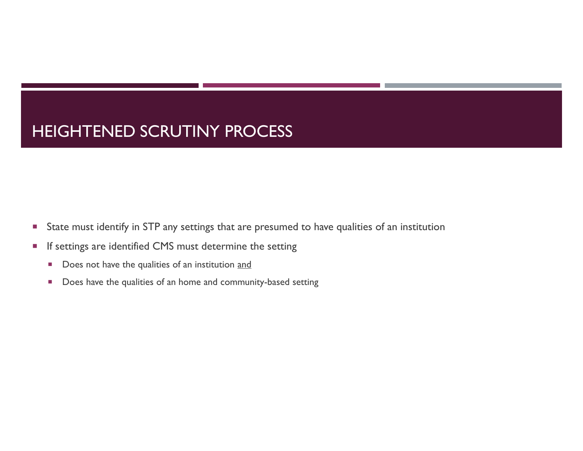#### HEIGHTENED SCRUTINY PROCESS

- $\overline{\phantom{a}}$ State must identify in STP any settings that are presumed to have qualities of an institution
- $\overline{\phantom{a}}$  If settings are identified CMS must determine the setting
	- $\overline{\phantom{a}}$ Does not have the qualities of an institution and
	- $\mathcal{L}_{\mathcal{A}}$ Does have the qualities of an home and community-based setting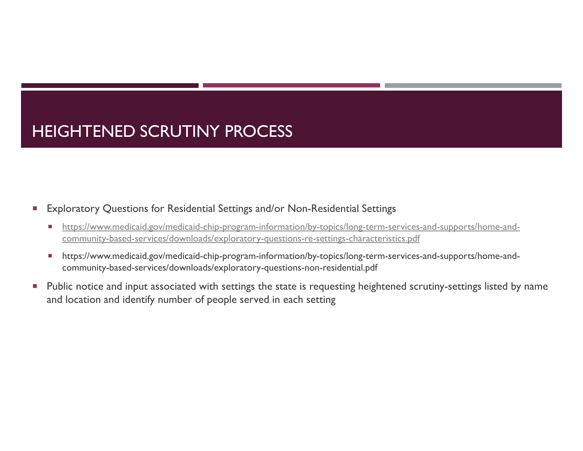# HEIGHTENED SCRUTINY PROCESS

#### ×. Exploratory Questions for Residential Settings and/or Non-Residential Settings

- $\mathcal{L}_{\mathcal{A}}$  https://www.medicaid.gov/medicaid-chip-program-information/by-topics/long-term-services-and-supports/home-andcommunity-based-services/downloads/exploratory-questions-re-settings-characteristics.pdf
- $\mathcal{L}_{\mathcal{A}}$  https://www.medicaid.gov/medicaid-chip-program-information/by-topics/long-term-services-and-supports/home-andcommunity-based-services/downloads/exploratory-questions-non-residential.pdf
- $\mathcal{L}_{\mathcal{A}}$  Public notice and input associated with settings the state is requesting heightened scrutiny-settings listed by name and location and identify number of people served in each setting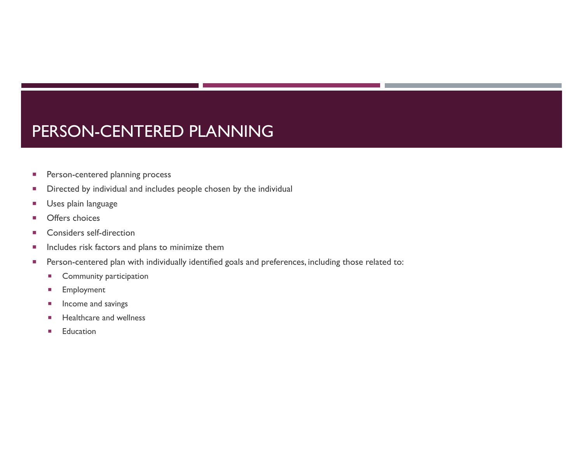#### PERSON-CENTERED PLANNING

- I. Person-centered planning process
- L Directed by individual and includes people chosen by the individual
- T. Uses plain language
- Г Offers choices
- П Considers self-direction
- I. Includes risk factors and plans to minimize them
- $\overline{\phantom{a}}$  Person-centered plan with individually identified goals and preferences, including those related to:
	- $\mathcal{L}_{\mathcal{A}}$ Community participation
	- $\overline{\phantom{a}}$ Employment
	- U. Income and savings
	- L. Healthcare and wellness
	- П **Education**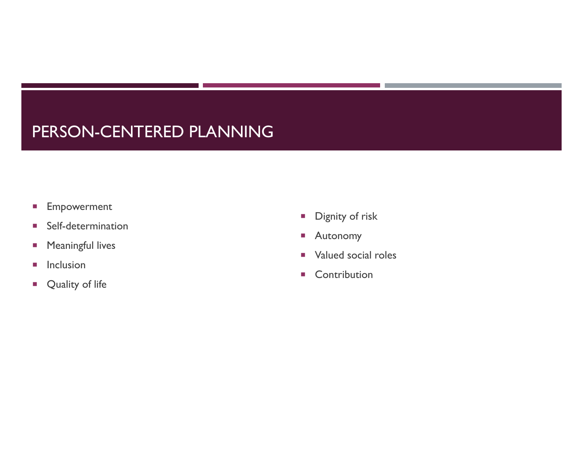#### PERSON-CENTERED PLANNING

- $\blacksquare$ Empowerment
- $\mathcal{L}_{\mathcal{A}}$ Self-determination
- $\mathcal{L}_{\mathcal{A}}$ Meaningful lives
- $\mathcal{L}_{\mathcal{A}}$ Inclusion
- $\mathcal{L}_{\mathcal{A}}$ Quality of life
- $\mathcal{L}_{\mathcal{A}}$ Dignity of risk
- $\mathcal{L}_{\mathcal{A}}$ Autonomy
- $\mathcal{L}_{\rm{max}}$ Valued social roles
- $\mathcal{L}_{\rm{max}}$ Contribution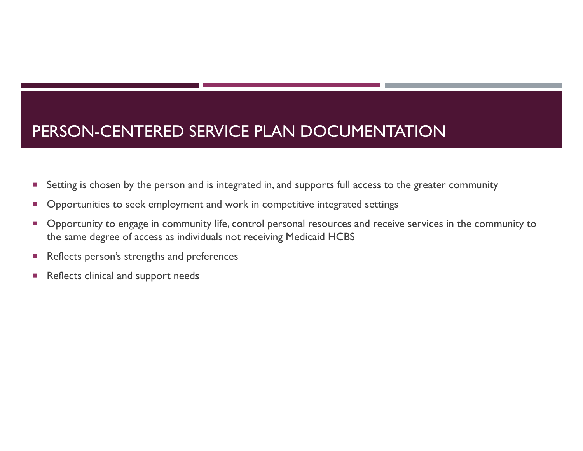#### PERSON-CENTERED SERVICE PLAN DOCUMENTATION

- $\overline{\phantom{a}}$ Setting is chosen by the person and is integrated in, and supports full access to the greater community
- o, Opportunities to seek employment and work in competitive integrated settings
- ×. Opportunity to engage in community life, control personal resources and receive services in the community to the same degree of access as individuals not receiving Medicaid HCBS
- $\mathcal{C}$ Reflects person's strengths and preferences
- $\mathcal{C}$ Reflects clinical and support needs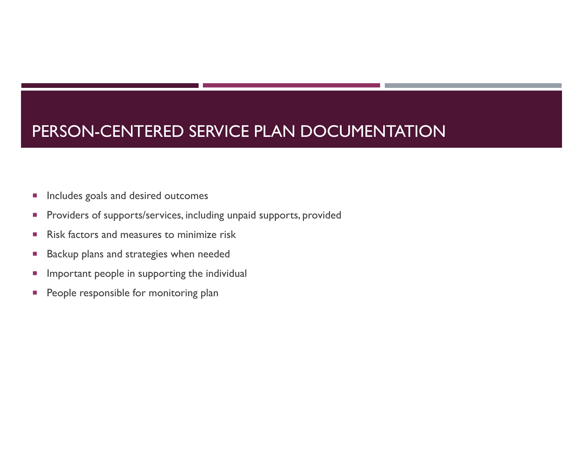# PERSON-CENTERED SERVICE PLAN DOCUMENTATION

- L. Includes goals and desired outcomes
- L. Providers of supports/services, including unpaid supports, provided
- a. Risk factors and measures to minimize risk
- I. Backup plans and strategies when needed
- T, Important people in supporting the individual
- $\Box$ People responsible for monitoring plan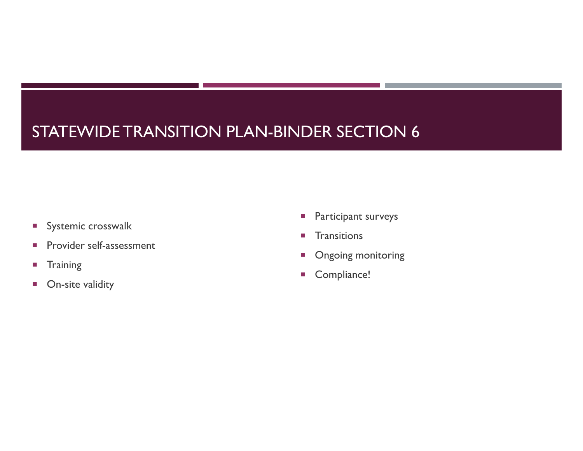# STATEWIDE TRANSITION PLAN-BINDER SECTION 6

- **Systemic crosswalk**
- $\mathcal{L}_{\mathcal{A}}$ Provider self-assessment
- $\blacksquare$ **Training**
- $\mathcal{L}_{\mathcal{A}}$ On-site validity
- $\mathcal{L}_{\mathcal{A}}$ Participant surveys
- m. **Transitions**
- $\mathcal{L}_{\mathcal{A}}$ Ongoing monitoring
- $\mathcal{L}_{\mathcal{A}}$ Compliance!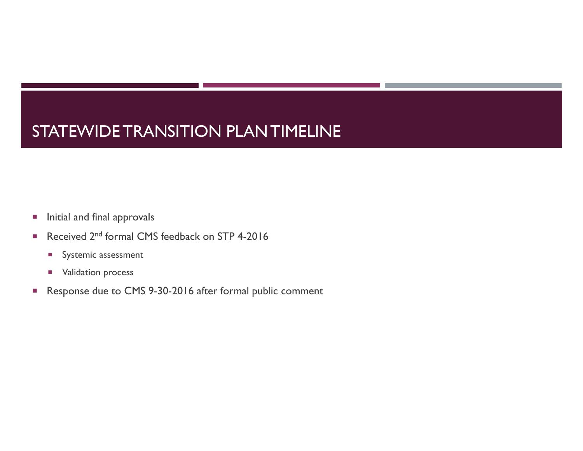# STATEWIDE TRANSITION PLAN TIMELINE

- $\overline{\phantom{a}}$ Initial and final approvals
- m. Received 2nd formal CMS feedback on STP 4-2016
	- **Systemic assessment**
	- **NACCERTY** Validation process
- $\overline{\phantom{a}}$ Response due to CMS 9-30-2016 after formal public comment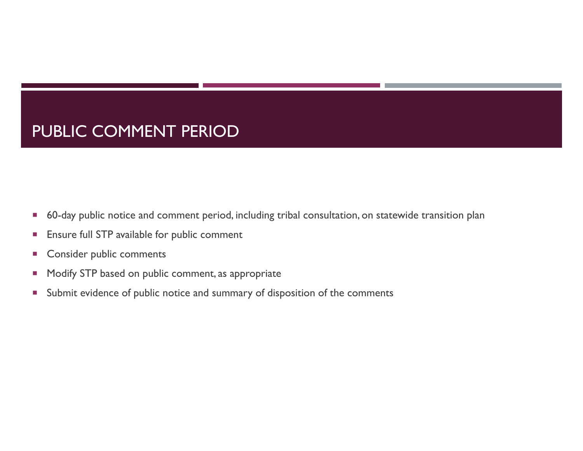#### PUBLIC COMMENT PERIOD

- $\mathcal{C}$ 60-day public notice and comment period, including tribal consultation, on statewide transition plan
- $\mathcal{C}$ Ensure full STP available for public comment
- F. Consider public comments
- T, Modify STP based on public comment, as appropriate
- $\overline{\phantom{a}}$ Submit evidence of public notice and summary of disposition of the comments